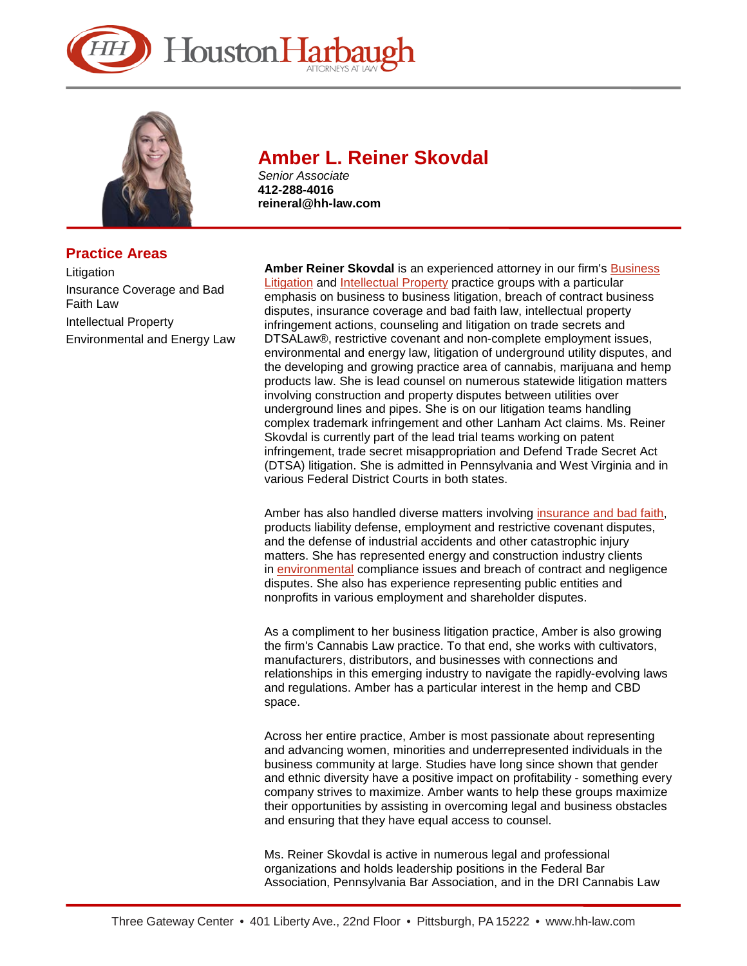



# **Practice Areas**

Litigation Insurance Coverage and Bad Faith Law Intellectual Property Environmental and Energy Law

# **Amber L. Reiner Skovdal**

*Senior Associate* **412-288-4016 reineral@hh-law.com** 

**Amber Reiner Skovdal** is an experienced attorney in our firm's [Business](https://www.hh-law.com/Business-Litigation/)  [Litigation](https://www.hh-law.com/Business-Litigation/) and [Intellectual Property](https://www.hh-law.com/Intellectual-Property-Audits-Application-Prosecution-Protection-Litigation/) practice groups with a particular emphasis on business to business litigation, breach of contract business disputes, insurance coverage and bad faith law, intellectual property infringement actions, counseling and litigation on trade secrets and DTSALaw®, restrictive covenant and non-complete employment issues, environmental and energy law, litigation of underground utility disputes, and the developing and growing practice area of cannabis, marijuana and hemp products law. She is lead counsel on numerous statewide litigation matters involving construction and property disputes between utilities over underground lines and pipes. She is on our litigation teams handling complex trademark infringement and other Lanham Act claims. Ms. Reiner Skovdal is currently part of the lead trial teams working on patent infringement, trade secret misappropriation and Defend Trade Secret Act (DTSA) litigation. She is admitted in Pennsylvania and West Virginia and in various Federal District Courts in both states.

Amber has also handled diverse matters involving [insurance and bad faith,](https://www.hh-law.com/Insurance-Coverage-and-Bad-Faith/)  products liability defense, employment and restrictive covenant disputes, and the defense of industrial accidents and other catastrophic injury matters. She has represented energy and construction industry clients in [environmental](https://www.hh-law.com/Environmental-Law-and-Toxic-Tort-Litigation/) compliance issues and breach of contract and negligence disputes. She also has experience representing public entities and nonprofits in various employment and shareholder disputes.

As a compliment to her business litigation practice, Amber is also growing the firm's Cannabis Law practice. To that end, she works with cultivators, manufacturers, distributors, and businesses with connections and relationships in this emerging industry to navigate the rapidly-evolving laws and regulations. Amber has a particular interest in the hemp and CBD space.

Across her entire practice, Amber is most passionate about representing and advancing women, minorities and underrepresented individuals in the business community at large. Studies have long since shown that gender and ethnic diversity have a positive impact on profitability - something every company strives to maximize. Amber wants to help these groups maximize their opportunities by assisting in overcoming legal and business obstacles and ensuring that they have equal access to counsel.

Ms. Reiner Skovdal is active in numerous legal and professional organizations and holds leadership positions in the Federal Bar Association, Pennsylvania Bar Association, and in the DRI Cannabis Law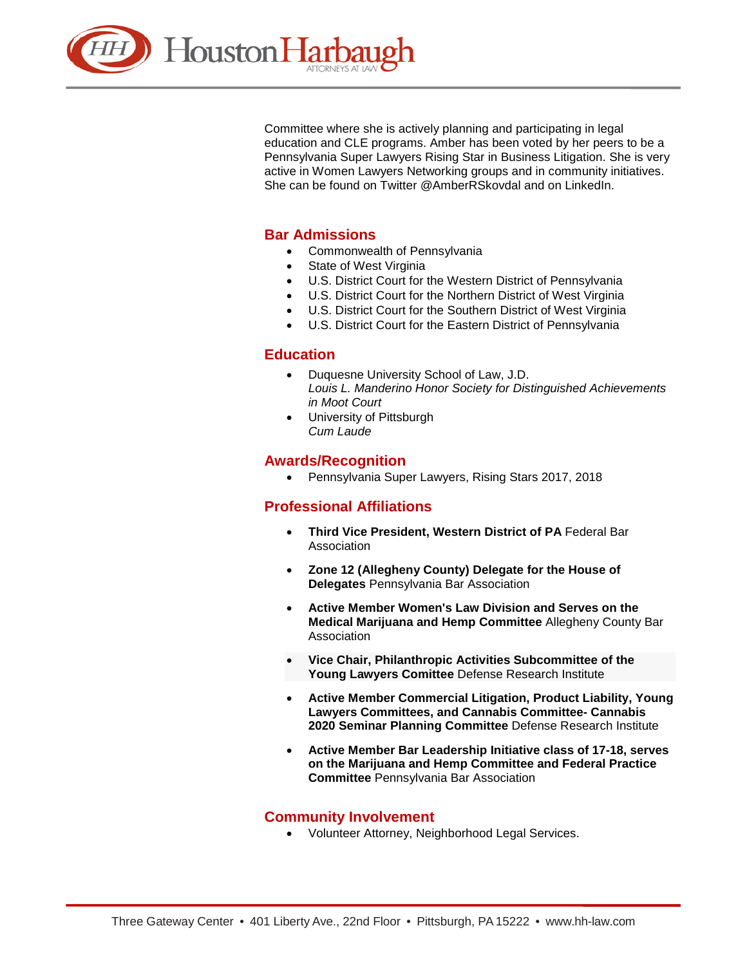

Committee where she is actively planning and participating in legal education and CLE programs. Amber has been voted by her peers to be a Pennsylvania Super Lawyers Rising Star in Business Litigation. She is very active in Women Lawyers Networking groups and in community initiatives. She can be found on Twitter @AmberRSkovdal and on LinkedIn.

## **Bar Admissions**

- Commonwealth of Pennsylvania
- State of West Virginia
- U.S. District Court for the Western District of Pennsylvania
- U.S. District Court for the Northern District of West Virginia
- U.S. District Court for the Southern District of West Virginia
- U.S. District Court for the Eastern District of Pennsylvania

## **Education**

- Duquesne University School of Law, J.D. *Louis L. Manderino Honor Society for Distinguished Achievements in Moot Court*
- University of Pittsburgh *Cum Laude*

#### **Awards/Recognition**

• Pennsylvania Super Lawyers, Rising Stars 2017, 2018

# **Professional Affiliations**

- **Third Vice President, Western District of PA** Federal Bar Association
- **Zone 12 (Allegheny County) Delegate for the House of Delegates** Pennsylvania Bar Association
- **Active Member Women's Law Division and Serves on the Medical Marijuana and Hemp Committee** Allegheny County Bar **Association**
- **Vice Chair, Philanthropic Activities Subcommittee of the Young Lawyers Comittee** Defense Research Institute
- **Active Member Commercial Litigation, Product Liability, Young Lawyers Committees, and Cannabis Committee- Cannabis 2020 Seminar Planning Committee** Defense Research Institute
- **Active Member Bar Leadership Initiative class of 17-18, serves on the Marijuana and Hemp Committee and Federal Practice Committee** Pennsylvania Bar Association

#### **Community Involvement**

• Volunteer Attorney, Neighborhood Legal Services.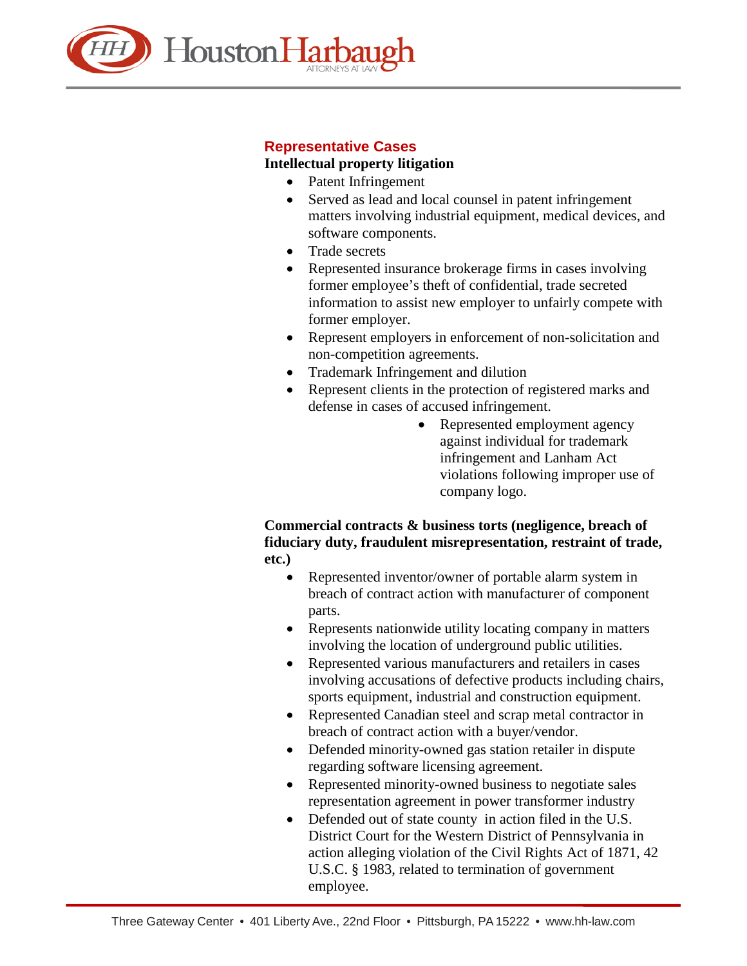

# **Representative Cases**

## **Intellectual property litigation**

- Patent Infringement
- Served as lead and local counsel in patent infringement matters involving industrial equipment, medical devices, and software components.
- Trade secrets
- Represented insurance brokerage firms in cases involving former employee's theft of confidential, trade secreted information to assist new employer to unfairly compete with former employer.
- Represent employers in enforcement of non-solicitation and non-competition agreements.
- Trademark Infringement and dilution
- Represent clients in the protection of registered marks and defense in cases of accused infringement.
	- Represented employment agency against individual for trademark infringement and Lanham Act violations following improper use of company logo.

## **Commercial contracts & business torts (negligence, breach of fiduciary duty, fraudulent misrepresentation, restraint of trade, etc.)**

- Represented inventor/owner of portable alarm system in breach of contract action with manufacturer of component parts.
- Represents nationwide utility locating company in matters involving the location of underground public utilities.
- Represented various manufacturers and retailers in cases involving accusations of defective products including chairs, sports equipment, industrial and construction equipment.
- Represented Canadian steel and scrap metal contractor in breach of contract action with a buyer/vendor.
- Defended minority-owned gas station retailer in dispute regarding software licensing agreement.
- Represented minority-owned business to negotiate sales representation agreement in power transformer industry
- Defended out of state county in action filed in the U.S. District Court for the Western District of Pennsylvania in action alleging violation of the Civil Rights Act of 1871, 42 U.S.C. § 1983, related to termination of government employee.